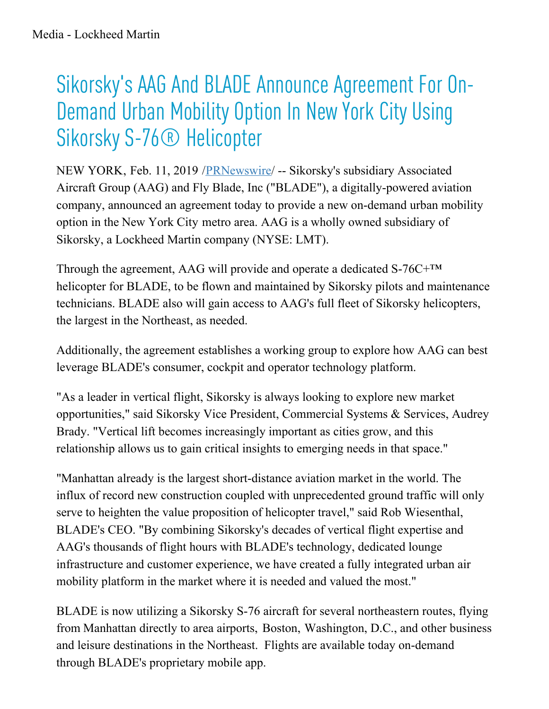## Sikorsky ' s AAG And BLADE Announce Agreement For On-Demand Urban Mobility Option In New York City Using Sikorsky S-76<sup>®</sup> Helicopter

NEW YORK, Feb. 11, 2019 [/PRNewswire](http://www.prnewswire.com/)/ -- Sikorsky's subsidiary Associated Aircraft Group (AAG) and Fly Blade, Inc ("BLADE"), a digitally-powered aviation company, announced an agreement today to provide a new on-demand urban mobility option in the New York City metro area. AAG is a wholly owned subsidiary of Sikorsky, a Lockheed Martin company (NYSE: LMT).

Through the agreement, AAG will provide and operate a dedicated S-76C+™ helicopter for BLADE, to be flown and maintained by Sikorsky pilots and maintenance technicians. BLADE also will gain access to AAG's full fleet of Sikorsky helicopters, the largest in the Northeast, as needed.

Additionally, the agreement establishes a working group to explore how AAG can best leverage BLADE's consumer, cockpit and operator technology platform.

"As a leader in vertical flight, Sikorsky is always looking to explore new market opportunities," said Sikorsky Vice President, Commercial Systems & Services, Audrey Brady. "Vertical lift becomes increasingly important as cities grow, and this relationship allows us to gain critical insights to emerging needs in that space."

"Manhattan already is the largest short-distance aviation market in the world. The influx of record new construction coupled with unprecedented ground traffic will only serve to heighten the value proposition of helicopter travel," said Rob Wiesenthal, BLADE's CEO. "By combining Sikorsky's decades of vertical flight expertise and AAG's thousands of flight hours with BLADE's technology, dedicated lounge infrastructure and customer experience, we have created a fully integrated urban air mobility platform in the market where it is needed and valued the most."

BLADE is now utilizing a Sikorsky S-76 aircraft for several northeastern routes, flying from Manhattan directly to area airports, Boston, Washington, D.C., and other business and leisure destinations in the Northeast. Flights are available today on-demand through BLADE's proprietary mobile app.